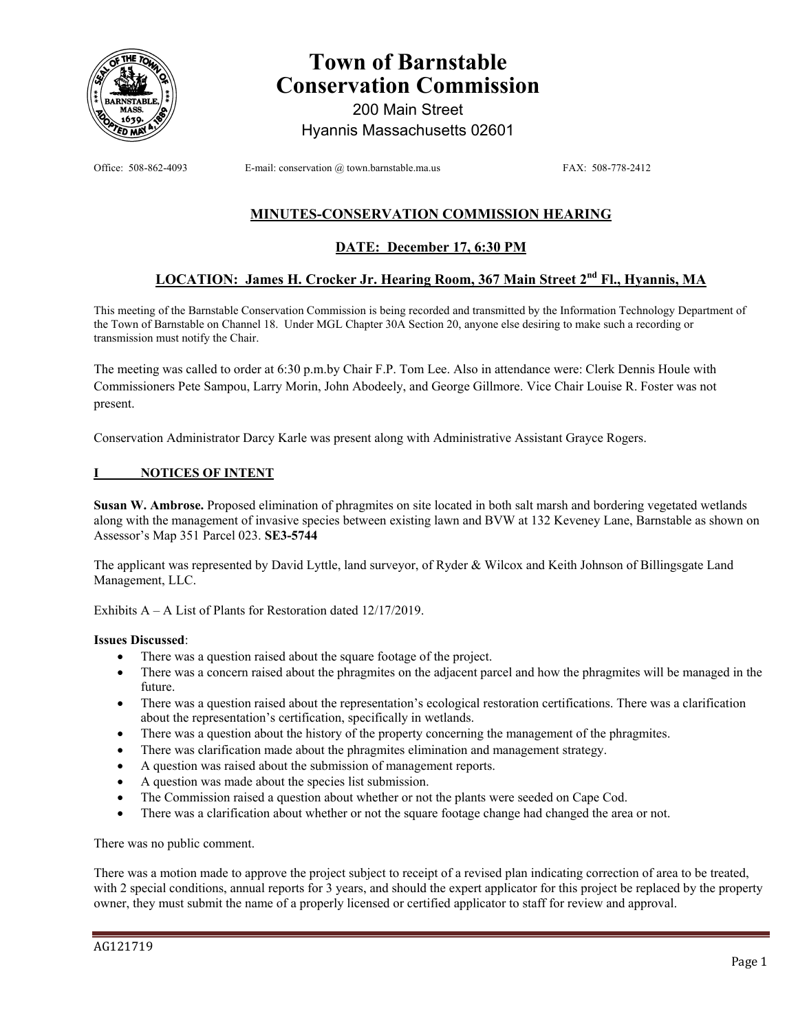

# **Town of Barnstable Conservation Commission**

200 Main Street Hyannis Massachusetts 02601

Office: 508-862-4093 E-mail: conservation @ town.barnstable.ma.us FAX: 508-778-2412

# **MINUTES-CONSERVATION COMMISSION HEARING**

# **DATE: December 17, 6:30 PM**

# **LOCATION: James H. Crocker Jr. Hearing Room, 367 Main Street 2nd Fl., Hyannis, MA**

This meeting of the Barnstable Conservation Commission is being recorded and transmitted by the Information Technology Department of the Town of Barnstable on Channel 18. Under MGL Chapter 30A Section 20, anyone else desiring to make such a recording or transmission must notify the Chair.

The meeting was called to order at 6:30 p.m.by Chair F.P. Tom Lee. Also in attendance were: Clerk Dennis Houle with Commissioners Pete Sampou, Larry Morin, John Abodeely, and George Gillmore. Vice Chair Louise R. Foster was not present.

Conservation Administrator Darcy Karle was present along with Administrative Assistant Grayce Rogers.

## **I NOTICES OF INTENT**

**Susan W. Ambrose.** Proposed elimination of phragmites on site located in both salt marsh and bordering vegetated wetlands along with the management of invasive species between existing lawn and BVW at 132 Keveney Lane, Barnstable as shown on Assessor's Map 351 Parcel 023. **SE3-5744** 

The applicant was represented by David Lyttle, land surveyor, of Ryder & Wilcox and Keith Johnson of Billingsgate Land Management, LLC.

Exhibits A – A List of Plants for Restoration dated 12/17/2019.

#### **Issues Discussed**:

- There was a question raised about the square footage of the project.
- There was a concern raised about the phragmites on the adjacent parcel and how the phragmites will be managed in the future.
- There was a question raised about the representation's ecological restoration certifications. There was a clarification about the representation's certification, specifically in wetlands.
- There was a question about the history of the property concerning the management of the phragmites.
- There was clarification made about the phragmites elimination and management strategy.
- A question was raised about the submission of management reports.
- A question was made about the species list submission.
- The Commission raised a question about whether or not the plants were seeded on Cape Cod.
- There was a clarification about whether or not the square footage change had changed the area or not.

There was no public comment.

There was a motion made to approve the project subject to receipt of a revised plan indicating correction of area to be treated, with 2 special conditions, annual reports for 3 years, and should the expert applicator for this project be replaced by the property owner, they must submit the name of a properly licensed or certified applicator to staff for review and approval.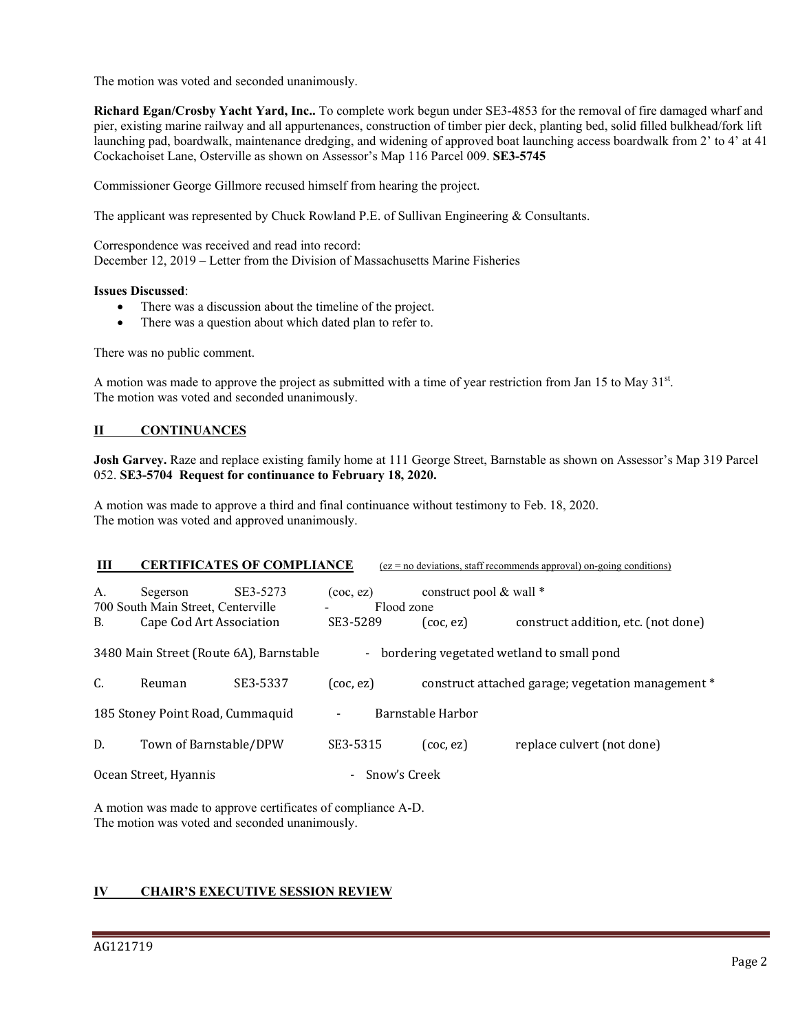The motion was voted and seconded unanimously.

**Richard Egan/Crosby Yacht Yard, Inc..** To complete work begun under SE3-4853 for the removal of fire damaged wharf and pier, existing marine railway and all appurtenances, construction of timber pier deck, planting bed, solid filled bulkhead/fork lift launching pad, boardwalk, maintenance dredging, and widening of approved boat launching access boardwalk from 2' to 4' at 41 Cockachoiset Lane, Osterville as shown on Assessor's Map 116 Parcel 009. **SE3-5745**

Commissioner George Gillmore recused himself from hearing the project.

The applicant was represented by Chuck Rowland P.E. of Sullivan Engineering & Consultants.

Correspondence was received and read into record: December 12, 2019 – Letter from the Division of Massachusetts Marine Fisheries

#### **Issues Discussed**:

- There was a discussion about the timeline of the project.
- There was a question about which dated plan to refer to.

There was no public comment.

A motion was made to approve the project as submitted with a time of year restriction from Jan 15 to May  $31<sup>st</sup>$ . The motion was voted and seconded unanimously.

## **II CONTINUANCES**

**Josh Garvey.** Raze and replace existing family home at 111 George Street, Barnstable as shown on Assessor's Map 319 Parcel 052. **SE3-5704 Request for continuance to February 18, 2020.** 

A motion was made to approve a third and final continuance without testimony to Feb. 18, 2020. The motion was voted and approved unanimously.

| Ш                                |                                                                                                | <b>CERTIFICATES OF COMPLIANCE</b> |                               |              |                         | $(ez = no deviations, staff recommends approval) on-going conditions)$ |
|----------------------------------|------------------------------------------------------------------------------------------------|-----------------------------------|-------------------------------|--------------|-------------------------|------------------------------------------------------------------------|
| А.                               | SE3-5273<br>Segerson<br>700 South Main Street, Centerville                                     |                                   | $($ coc, ez $)$<br>Flood zone |              | construct pool & wall * |                                                                        |
| В.                               | Cape Cod Art Association                                                                       |                                   | SE3-5289                      |              | $($ coc, ez $)$         | construct addition, etc. (not done)                                    |
|                                  | 3480 Main Street (Route 6A), Barnstable<br>bordering vegetated wetland to small pond<br>$\sim$ |                                   |                               |              |                         |                                                                        |
| C.                               | Reuman                                                                                         | SE3-5337                          | (coc, ez)                     |              |                         | construct attached garage; vegetation management *                     |
| 185 Stoney Point Road, Cummaquid |                                                                                                |                                   | $\overline{\phantom{a}}$      |              | Barnstable Harbor       |                                                                        |
| D.                               | Town of Barnstable/DPW                                                                         |                                   | SE3-5315                      |              | $($ coc, ez $)$         | replace culvert (not done)                                             |
| Ocean Street, Hyannis            |                                                                                                |                                   |                               | Snow's Creek |                         |                                                                        |

A motion was made to approve certificates of compliance A-D. The motion was voted and seconded unanimously.

## **IV CHAIR'S EXECUTIVE SESSION REVIEW**